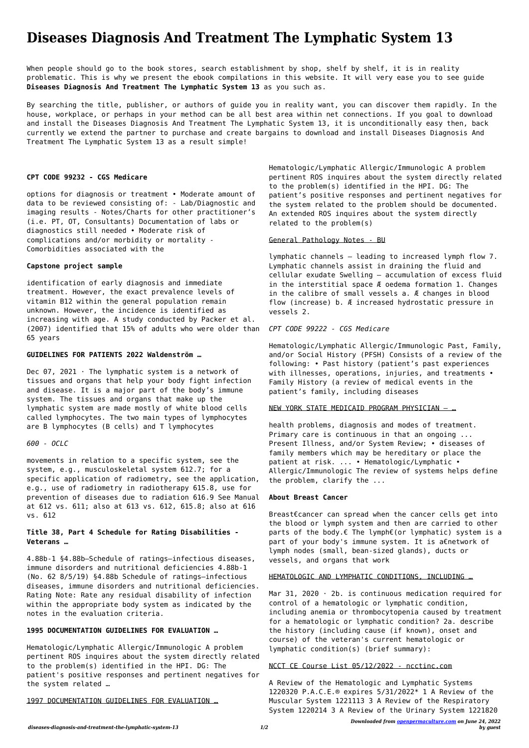*Downloaded from [openpermaculture.com](http://openpermaculture.com) on June 24, 2022 by guest*

# **Diseases Diagnosis And Treatment The Lymphatic System 13**

When people should go to the book stores, search establishment by shop, shelf by shelf, it is in reality problematic. This is why we present the ebook compilations in this website. It will very ease you to see guide **Diseases Diagnosis And Treatment The Lymphatic System 13** as you such as.

By searching the title, publisher, or authors of guide you in reality want, you can discover them rapidly. In the house, workplace, or perhaps in your method can be all best area within net connections. If you goal to download and install the Diseases Diagnosis And Treatment The Lymphatic System 13, it is unconditionally easy then, back currently we extend the partner to purchase and create bargains to download and install Diseases Diagnosis And Treatment The Lymphatic System 13 as a result simple!

#### **CPT CODE 99232 - CGS Medicare**

Dec 07, 2021  $\cdot$  The lymphatic system is a network of tissues and organs that help your body fight infection and disease. It is a major part of the body's immune system. The tissues and organs that make up the lymphatic system are made mostly of white blood cells called lymphocytes. The two main types of lymphocytes are B lymphocytes (B cells) and T lymphocytes

options for diagnosis or treatment • Moderate amount of data to be reviewed consisting of: - Lab/Diagnostic and imaging results - Notes/Charts for other practitioner's (i.e. PT, OT, Consultants) Documentation of labs or diagnostics still needed • Moderate risk of complications and/or morbidity or mortality - Comorbidities associated with the

## **Capstone project sample**

identification of early diagnosis and immediate treatment. However, the exact prevalence levels of vitamin B12 within the general population remain unknown. However, the incidence is identified as increasing with age. A study conducted by Packer et al. (2007) identified that 15% of adults who were older than 65 years

#### **GUIDELINES FOR PATIENTS 2022 Waldenström …**

## *600 - OCLC*

movements in relation to a specific system, see the system, e.g., musculoskeletal system 612.7; for a specific application of radiometry, see the application, e.g., use of radiometry in radiotherapy 615.8, use for prevention of diseases due to radiation 616.9 See Manual at 612 vs. 611; also at 613 vs. 612, 615.8; also at 616 vs. 612

# **Title 38, Part 4 Schedule for Rating Disabilities - Veterans …**

4.88b-1 §4.88b—Schedule of ratings–infectious diseases, immune disorders and nutritional deficiencies 4.88b-1 (No. 62 8/5/19) §4.88b Schedule of ratings—infectious diseases, immune disorders and nutritional deficiencies. Rating Note: Rate any residual disability of infection within the appropriate body system as indicated by the notes in the evaluation criteria.

Mar 31, 2020  $\cdot$  2b. is continuous medication required for control of a hematologic or lymphatic condition, including anemia or thrombocytopenia caused by treatment for a hematologic or lymphatic condition? 2a. describe the history (including cause (if known), onset and course) of the veteran's current hematologic or lymphatic condition(s) (brief summary):

# **1995 DOCUMENTATION GUIDELINES FOR EVALUATION …**

Hematologic/Lymphatic Allergic/Immunologic A problem pertinent ROS inquires about the system directly related to the problem(s) identified in the HPI. DG: The patient's positive responses and pertinent negatives for the system related …

#### 1997 DOCUMENTATION GUIDELINES FOR EVALUATION …

Hematologic/Lymphatic Allergic/Immunologic A problem pertinent ROS inquires about the system directly related to the problem(s) identified in the HPI. DG: The patient's positive responses and pertinent negatives for the system related to the problem should be documented. An extended ROS inquires about the system directly related to the problem(s)

#### General Pathology Notes - BU

lymphatic channels – leading to increased lymph flow 7. Lymphatic channels assist in draining the fluid and cellular exudate Swelling – accumulation of excess fluid in the interstitial space Æ oedema formation 1. Changes in the calibre of small vessels a. Æ changes in blood flow (increase) b. Æ increased hydrostatic pressure in vessels 2.

## *CPT CODE 99222 - CGS Medicare*

Hematologic/Lymphatic Allergic/Immunologic Past, Family, and/or Social History (PFSH) Consists of a review of the following: • Past history (patient's past experiences with illnesses, operations, injuries, and treatments • Family History (a review of medical events in the patient's family, including diseases

#### NEW YORK STATE MEDICAID PROGRAM PHYSICIAN – …

health problems, diagnosis and modes of treatment. Primary care is continuous in that an ongoing ... Present Illness, and/or System Review; • diseases of family members which may be hereditary or place the patient at risk. ... • Hematologic/Lymphatic • Allergic/Immunologic The review of systems helps define the problem, clarify the ...

## **About Breast Cancer**

Breast€cancer can spread when the cancer cells get into the blood or lymph system and then are carried to other parts of the body.€ The lymph€(or lymphatic) system is a part of your body's immune system. It is a€network of lymph nodes (small, bean-sized glands), ducts or vessels, and organs that work

# HEMATOLOGIC AND LYMPHATIC CONDITIONS, INCLUDING …

## NCCT CE Course List 05/12/2022 - ncctinc.com

A Review of the Hematologic and Lymphatic Systems 1220320 P.A.C.E.® expires 5/31/2022\* 1 A Review of the Muscular System 1221113 3 A Review of the Respiratory System 1220214 3 A Review of the Urinary System 1221820